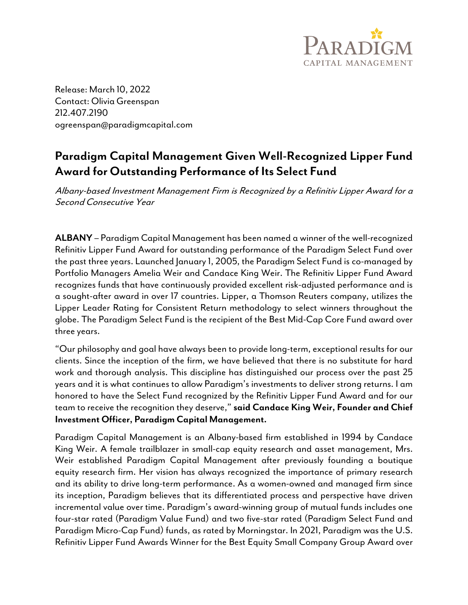

Release: March 10, 2022 Contact: Olivia Greenspan 212.407.2190 ogreenspan@paradigmcapital.com

## Paradigm Capital Management Given Well-Recognized Lipper Fund Award for Outstanding Performance of Its Select Fund

Albany-based Investment Management Firm is Recognized by a Refinitiv Lipper Award for a Second Consecutive Year

ALBANY – Paradigm Capital Management has been named a winner of the well-recognized Refinitiv Lipper Fund Award for outstanding performance of the Paradigm Select Fund over the past three years. Launched January 1, 2005, the Paradigm Select Fund is co-managed by Portfolio Managers Amelia Weir and Candace King Weir. The Refinitiv Lipper Fund Award recognizes funds that have continuously provided excellent risk-adjusted performance and is a sought-after award in over 17 countries. Lipper, a Thomson Reuters company, utilizes the Lipper Leader Rating for Consistent Return methodology to select winners throughout the globe. The Paradigm Select Fund is the recipient of the Best Mid-Cap Core Fund award over three years.

"Our philosophy and goal have always been to provide long-term, exceptional results for our clients. Since the inception of the firm, we have believed that there is no substitute for hard work and thorough analysis. This discipline has distinguished our process over the past 25 years and it is what continues to allow Paradigm's investments to deliver strong returns. I am honored to have the Select Fund recognized by the Refinitiv Lipper Fund Award and for our team to receive the recognition they deserve," said Candace King Weir, Founder and Chief Investment Officer, Paradigm Capital Management.

Paradigm Capital Management is an Albany-based firm established in 1994 by Candace King Weir. A female trailblazer in small-cap equity research and asset management, Mrs. Weir established Paradigm Capital Management after previously founding a boutique equity research firm. Her vision has always recognized the importance of primary research and its ability to drive long-term performance. As a women-owned and managed firm since its inception, Paradigm believes that its differentiated process and perspective have driven incremental value over time. Paradigm's award-winning group of mutual funds includes one four-star rated (Paradigm Value Fund) and two five-star rated (Paradigm Select Fund and Paradigm Micro-Cap Fund) funds, as rated by Morningstar. In 2021, Paradigm was the U.S. Refinitiv Lipper Fund Awards Winner for the Best Equity Small Company Group Award over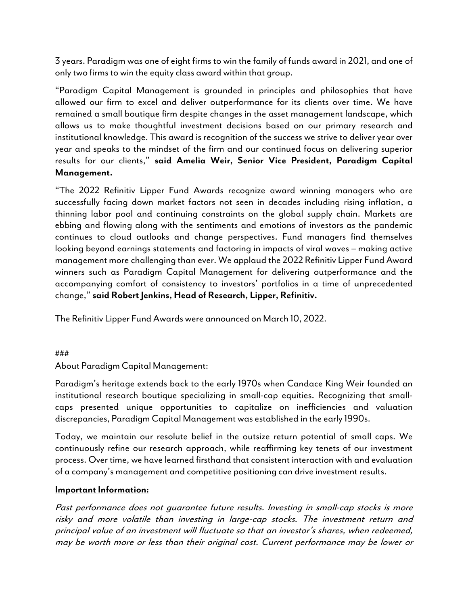3 years. Paradigm was one of eight firms to win the family of funds award in 2021, and one of only two firms to win the equity class award within that group.

"Paradigm Capital Management is grounded in principles and philosophies that have allowed our firm to excel and deliver outperformance for its clients over time. We have remained a small boutique firm despite changes in the asset management landscape, which allows us to make thoughtful investment decisions based on our primary research and institutional knowledge. This award is recognition of the success we strive to deliver year over year and speaks to the mindset of the firm and our continued focus on delivering superior results for our clients," said Amelia Weir, Senior Vice President, Paradigm Capital Management.

"The 2022 Refinitiv Lipper Fund Awards recognize award winning managers who are successfully facing down market factors not seen in decades including rising inflation, a thinning labor pool and continuing constraints on the global supply chain. Markets are ebbing and flowing along with the sentiments and emotions of investors as the pandemic continues to cloud outlooks and change perspectives. Fund managers find themselves looking beyond earnings statements and factoring in impacts of viral waves – making active management more challenging than ever. We applaud the 2022 Refinitiv Lipper Fund Award winners such as Paradigm Capital Management for delivering outperformance and the accompanying comfort of consistency to investors' portfolios in a time of unprecedented change," said Robert Jenkins, Head of Research, Lipper, Refinitiv.

The Refinitiv Lipper Fund Awards were announced on March 10, 2022.

## ###

About Paradigm Capital Management:

Paradigm's heritage extends back to the early 1970s when Candace King Weir founded an institutional research boutique specializing in small-cap equities. Recognizing that smallcaps presented unique opportunities to capitalize on inefficiencies and valuation discrepancies, Paradigm Capital Management was established in the early 1990s.

Today, we maintain our resolute belief in the outsize return potential of small caps. We continuously refine our research approach, while reaffirming key tenets of our investment process. Over time, we have learned firsthand that consistent interaction with and evaluation of a company's management and competitive positioning can drive investment results.

## Important Information:

Past performance does not guarantee future results. Investing in small-cap stocks is more risky and more volatile than investing in large-cap stocks. The investment return and principal value of an investment will fluctuate so that an investor's shares, when redeemed, may be worth more or less than their original cost. Current performance may be lower or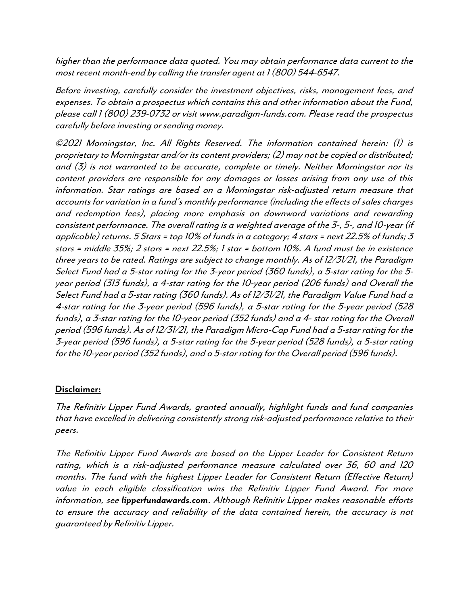higher than the performance data quoted. You may obtain performance data current to the most recent month-end by calling the transfer agent at 1 (800) 544-6547.

Before investing, carefully consider the investment objectives, risks, management fees, and expenses. To obtain a prospectus which contains this and other information about the Fund, please call 1 (800) 239-0732 or visit www.paradigm-funds.com. Please read the prospectus carefully before investing or sending money.

©2021 Morningstar, Inc. All Rights Reserved. The information contained herein: (1) is proprietary to Morningstar and/or its content providers; (2) may not be copied or distributed; and (3) is not warranted to be accurate, complete or timely. Neither Morningstar nor its content providers are responsible for any damages or losses arising from any use of this information. Star ratings are based on a Morningstar risk-adjusted return measure that accounts for variation in a fund's monthly performance (including the effects of sales charges and redemption fees), placing more emphasis on downward variations and rewarding consistent performance. The overall rating is a weighted average of the 3-, 5-, and 10-year (if applicable) returns.  $5$  Stars = top 10% of funds in a category; 4 stars = next 22.5% of funds; 3 stars = middle 35%; 2 stars = next 22.5%; 1 star = bottom 10%. A fund must be in existence three years to be rated. Ratings are subject to change monthly. As of 12/31/21, the Paradigm Select Fund had a 5-star rating for the 3-year period (360 funds), a 5-star rating for the 5 year period (313 funds), a 4-star rating for the 10-year period (206 funds) and Overall the Select Fund had a 5-star rating (360 funds). As of 12/31/21, the Paradigm Value Fund had a 4-star rating for the 3-year period (596 funds), a 5-star rating for the 5-year period (528 funds), a 3-star rating for the 10-year period (352 funds) and a 4- star rating for the Overall period (596 funds). As of 12/31/21, the Paradigm Micro-Cap Fund had a 5-star rating for the 3-year period (596 funds), a 5-star rating for the 5-year period (528 funds), a 5-star rating for the 10-year period (352 funds), and a 5-star rating for the Overall period (596 funds).

## Disclaimer:

The Refinitiv Lipper Fund Awards, granted annually, highlight funds and fund companies that have excelled in delivering consistently strong risk-adjusted performance relative to their peers.

The Refinitiv Lipper Fund Awards are based on the Lipper Leader for Consistent Return rating, which is a risk-adjusted performance measure calculated over 36, 60 and 120 months. The fund with the highest Lipper Leader for Consistent Return (Effective Return) value in each eligible classification wins the Refinitiv Lipper Fund Award. For more information, see lipperfundawards.com. Although Refinitiv Lipper makes reasonable efforts to ensure the accuracy and reliability of the data contained herein, the accuracy is not guaranteed by Refinitiv Lipper.